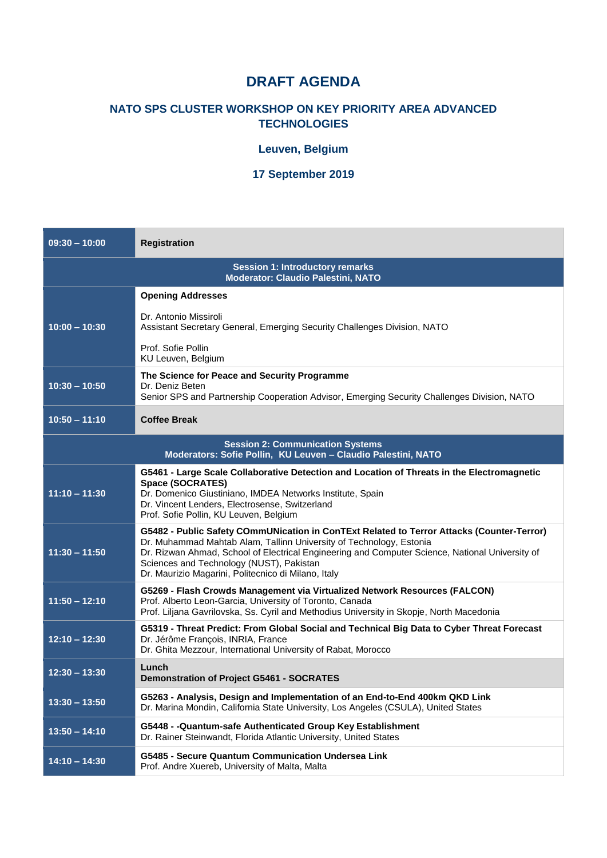# **DRAFT AGENDA**

### **NATO SPS CLUSTER WORKSHOP ON KEY PRIORITY AREA ADVANCED TECHNOLOGIES**

### **Leuven, Belgium**

#### **17 September 2019**

| $09:30 - 10:00$                                                                                          | <b>Registration</b>                                                                                                                                                                                                                                                                                                                                                    |  |
|----------------------------------------------------------------------------------------------------------|------------------------------------------------------------------------------------------------------------------------------------------------------------------------------------------------------------------------------------------------------------------------------------------------------------------------------------------------------------------------|--|
| <b>Session 1: Introductory remarks</b><br><b>Moderator: Claudio Palestini, NATO</b>                      |                                                                                                                                                                                                                                                                                                                                                                        |  |
|                                                                                                          | <b>Opening Addresses</b>                                                                                                                                                                                                                                                                                                                                               |  |
| $10:00 - 10:30$                                                                                          | Dr. Antonio Missiroli<br>Assistant Secretary General, Emerging Security Challenges Division, NATO                                                                                                                                                                                                                                                                      |  |
|                                                                                                          | Prof. Sofie Pollin<br>KU Leuven, Belgium                                                                                                                                                                                                                                                                                                                               |  |
| $10:30 - 10:50$                                                                                          | The Science for Peace and Security Programme<br>Dr. Deniz Beten<br>Senior SPS and Partnership Cooperation Advisor, Emerging Security Challenges Division, NATO                                                                                                                                                                                                         |  |
| $10:50 - 11:10$                                                                                          | <b>Coffee Break</b>                                                                                                                                                                                                                                                                                                                                                    |  |
| <b>Session 2: Communication Systems</b><br>Moderators: Sofie Pollin, KU Leuven - Claudio Palestini, NATO |                                                                                                                                                                                                                                                                                                                                                                        |  |
| $11:10 - 11:30$                                                                                          | G5461 - Large Scale Collaborative Detection and Location of Threats in the Electromagnetic<br><b>Space (SOCRATES)</b><br>Dr. Domenico Giustiniano, IMDEA Networks Institute, Spain<br>Dr. Vincent Lenders, Electrosense, Switzerland<br>Prof. Sofie Pollin, KU Leuven, Belgium                                                                                         |  |
| $11:30 - 11:50$                                                                                          | G5482 - Public Safety COmmUNication in ConTExt Related to Terror Attacks (Counter-Terror)<br>Dr. Muhammad Mahtab Alam, Tallinn University of Technology, Estonia<br>Dr. Rizwan Ahmad, School of Electrical Engineering and Computer Science, National University of<br>Sciences and Technology (NUST), Pakistan<br>Dr. Maurizio Magarini, Politecnico di Milano, Italy |  |
| $11:50 - 12:10$                                                                                          | G5269 - Flash Crowds Management via Virtualized Network Resources (FALCON)<br>Prof. Alberto Leon-Garcia, University of Toronto, Canada<br>Prof. Liljana Gavrilovska, Ss. Cyril and Methodius University in Skopje, North Macedonia                                                                                                                                     |  |
| $12:10 - 12:30$                                                                                          | G5319 - Threat Predict: From Global Social and Technical Big Data to Cyber Threat Forecast<br>Dr. Jérôme François, INRIA, France<br>Dr. Ghita Mezzour, International University of Rabat, Morocco                                                                                                                                                                      |  |
| $12:30 - 13:30$                                                                                          | Lunch<br><b>Demonstration of Project G5461 - SOCRATES</b>                                                                                                                                                                                                                                                                                                              |  |
| $13:30 - 13:50$                                                                                          | G5263 - Analysis, Design and Implementation of an End-to-End 400km QKD Link<br>Dr. Marina Mondin, California State University, Los Angeles (CSULA), United States                                                                                                                                                                                                      |  |
| $13:50 - 14:10$                                                                                          | G5448 - - Quantum-safe Authenticated Group Key Establishment<br>Dr. Rainer Steinwandt, Florida Atlantic University, United States                                                                                                                                                                                                                                      |  |
| $14:10 - 14:30$                                                                                          | G5485 - Secure Quantum Communication Undersea Link<br>Prof. Andre Xuereb, University of Malta, Malta                                                                                                                                                                                                                                                                   |  |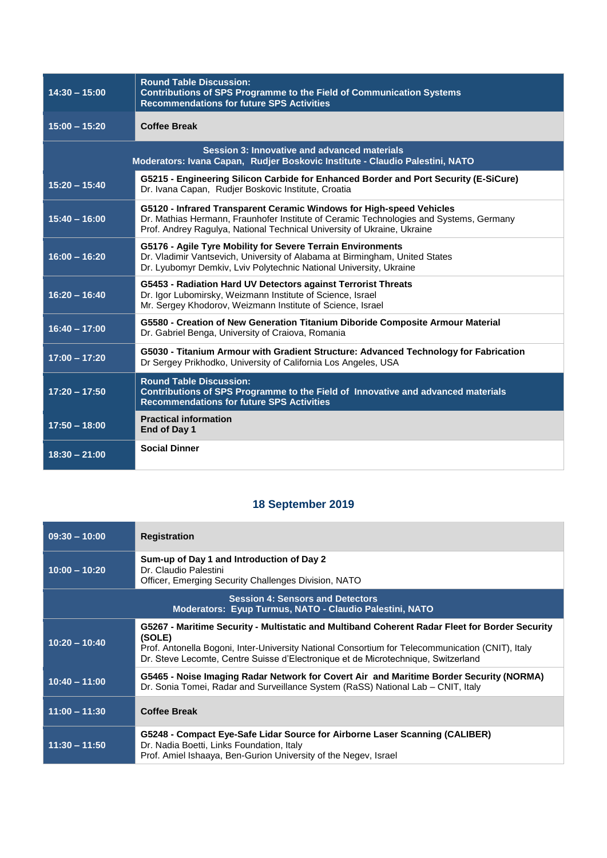| $14:30 - 15:00$                                                                                                              | <b>Round Table Discussion:</b><br><b>Contributions of SPS Programme to the Field of Communication Systems</b><br><b>Recommendations for future SPS Activities</b>                                                                         |  |
|------------------------------------------------------------------------------------------------------------------------------|-------------------------------------------------------------------------------------------------------------------------------------------------------------------------------------------------------------------------------------------|--|
| $15:00 - 15:20$                                                                                                              | <b>Coffee Break</b>                                                                                                                                                                                                                       |  |
| Session 3: Innovative and advanced materials<br>Moderators: Ivana Capan, Rudjer Boskovic Institute - Claudio Palestini, NATO |                                                                                                                                                                                                                                           |  |
| $15:20 - 15:40$                                                                                                              | G5215 - Engineering Silicon Carbide for Enhanced Border and Port Security (E-SiCure)<br>Dr. Ivana Capan, Rudjer Boskovic Institute, Croatia                                                                                               |  |
| $15:40 - 16:00$                                                                                                              | G5120 - Infrared Transparent Ceramic Windows for High-speed Vehicles<br>Dr. Mathias Hermann, Fraunhofer Institute of Ceramic Technologies and Systems, Germany<br>Prof. Andrey Ragulya, National Technical University of Ukraine, Ukraine |  |
| $16:00 - 16:20$                                                                                                              | G5176 - Agile Tyre Mobility for Severe Terrain Environments<br>Dr. Vladimir Vantsevich, University of Alabama at Birmingham, United States<br>Dr. Lyubomyr Demkiv, Lviv Polytechnic National University, Ukraine                          |  |
| $16:20 - 16:40$                                                                                                              | G5453 - Radiation Hard UV Detectors against Terrorist Threats<br>Dr. Igor Lubomirsky, Weizmann Institute of Science, Israel<br>Mr. Sergey Khodorov, Weizmann Institute of Science, Israel                                                 |  |
| $16:40 - 17:00$                                                                                                              | G5580 - Creation of New Generation Titanium Diboride Composite Armour Material<br>Dr. Gabriel Benga, University of Craiova, Romania                                                                                                       |  |
| $17:00 - 17:20$                                                                                                              | G5030 - Titanium Armour with Gradient Structure: Advanced Technology for Fabrication<br>Dr Sergey Prikhodko, University of California Los Angeles, USA                                                                                    |  |
| $17:20 - 17:50$                                                                                                              | <b>Round Table Discussion:</b><br>Contributions of SPS Programme to the Field of Innovative and advanced materials<br><b>Recommendations for future SPS Activities</b>                                                                    |  |
| $17:50 - 18:00$                                                                                                              | <b>Practical information</b><br>End of Day 1                                                                                                                                                                                              |  |
| $18:30 - 21:00$                                                                                                              | <b>Social Dinner</b>                                                                                                                                                                                                                      |  |

## **18 September 2019**

| $09:30 - 10:00$ | <b>Registration</b>                                                                                                                                                                                                                                                                               |
|-----------------|---------------------------------------------------------------------------------------------------------------------------------------------------------------------------------------------------------------------------------------------------------------------------------------------------|
| $10:00 - 10:20$ | Sum-up of Day 1 and Introduction of Day 2<br>Dr. Claudio Palestini<br>Officer, Emerging Security Challenges Division, NATO                                                                                                                                                                        |
|                 | <b>Session 4: Sensors and Detectors</b><br>Moderators: Eyup Turmus, NATO - Claudio Palestini, NATO                                                                                                                                                                                                |
| $10:20 - 10:40$ | G5267 - Maritime Security - Multistatic and Multiband Coherent Radar Fleet for Border Security<br>(SOLE)<br>Prof. Antonella Bogoni, Inter-University National Consortium for Telecommunication (CNIT), Italy<br>Dr. Steve Lecomte, Centre Suisse d'Electronique et de Microtechnique, Switzerland |
| $10:40 - 11:00$ | G5465 - Noise Imaging Radar Network for Covert Air and Maritime Border Security (NORMA)<br>Dr. Sonia Tomei, Radar and Surveillance System (RaSS) National Lab – CNIT, Italy                                                                                                                       |
| $11:00 - 11:30$ | <b>Coffee Break</b>                                                                                                                                                                                                                                                                               |
| $11:30 - 11:50$ | G5248 - Compact Eye-Safe Lidar Source for Airborne Laser Scanning (CALIBER)<br>Dr. Nadia Boetti, Links Foundation, Italy<br>Prof. Amiel Ishaaya, Ben-Gurion University of the Negey, Israel                                                                                                       |